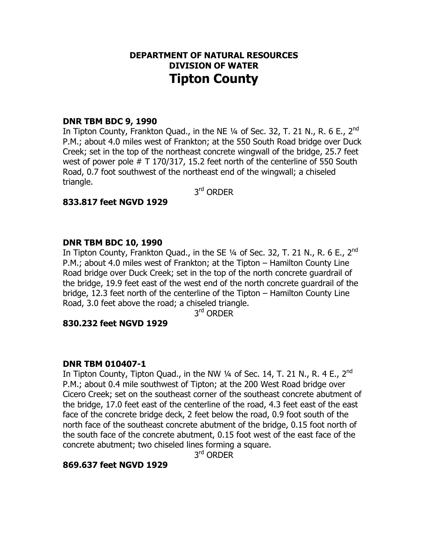# **DEPARTMENT OF NATURAL RESOURCES DIVISION OF WATER Tipton County**

## **DNR TBM BDC 9, 1990**

In Tipton County, Frankton Quad., in the NE  $\frac{1}{4}$  of Sec. 32, T. 21 N., R. 6 E., 2<sup>nd</sup> P.M.; about 4.0 miles west of Frankton; at the 550 South Road bridge over Duck Creek; set in the top of the northeast concrete wingwall of the bridge, 25.7 feet west of power pole # T 170/317, 15.2 feet north of the centerline of 550 South Road, 0.7 foot southwest of the northeast end of the wingwall; a chiseled triangle.

3<sup>rd</sup> ORDER

## **833.817 feet NGVD 1929**

## **DNR TBM BDC 10, 1990**

In Tipton County, Frankton Quad., in the SE  $\frac{1}{4}$  of Sec. 32, T. 21 N., R. 6 E., 2<sup>nd</sup> P.M.; about 4.0 miles west of Frankton; at the Tipton – Hamilton County Line Road bridge over Duck Creek; set in the top of the north concrete guardrail of the bridge, 19.9 feet east of the west end of the north concrete guardrail of the bridge, 12.3 feet north of the centerline of the Tipton – Hamilton County Line Road, 3.0 feet above the road; a chiseled triangle.

3<sup>rd</sup> ORDER

#### **830.232 feet NGVD 1929**

#### **DNR TBM 010407-1**

In Tipton County, Tipton Quad., in the NW  $\frac{1}{4}$  of Sec. 14, T. 21 N., R. 4 E., 2<sup>nd</sup> P.M.; about 0.4 mile southwest of Tipton; at the 200 West Road bridge over Cicero Creek; set on the southeast corner of the southeast concrete abutment of the bridge, 17.0 feet east of the centerline of the road, 4.3 feet east of the east face of the concrete bridge deck, 2 feet below the road, 0.9 foot south of the north face of the southeast concrete abutment of the bridge, 0.15 foot north of the south face of the concrete abutment, 0.15 foot west of the east face of the concrete abutment; two chiseled lines forming a square.

3<sup>rd</sup> ORDER

# **869.637 feet NGVD 1929**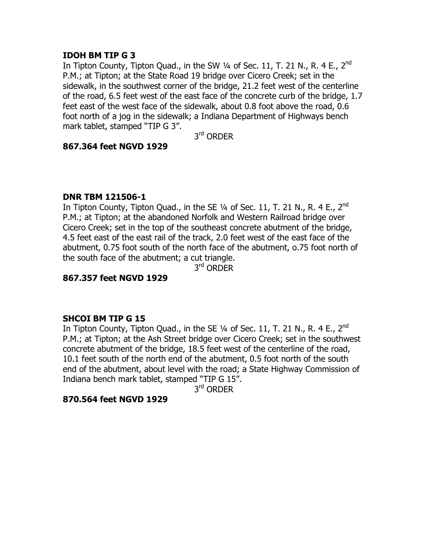# **IDOH BM TIP G 3**

In Tipton County, Tipton Quad., in the SW  $\frac{1}{4}$  of Sec. 11, T. 21 N., R. 4 E., 2<sup>nd</sup> P.M.; at Tipton; at the State Road 19 bridge over Cicero Creek; set in the sidewalk, in the southwest corner of the bridge, 21.2 feet west of the centerline of the road, 6.5 feet west of the east face of the concrete curb of the bridge, 1.7 feet east of the west face of the sidewalk, about 0.8 foot above the road, 0.6 foot north of a jog in the sidewalk; a Indiana Department of Highways bench mark tablet, stamped "TIP G 3".

3<sup>rd</sup> ORDER

## **867.364 feet NGVD 1929**

## **DNR TBM 121506-1**

In Tipton County, Tipton Quad., in the SE  $\frac{1}{4}$  of Sec. 11, T. 21 N., R. 4 E., 2<sup>nd</sup> P.M.; at Tipton; at the abandoned Norfolk and Western Railroad bridge over Cicero Creek; set in the top of the southeast concrete abutment of the bridge, 4.5 feet east of the east rail of the track, 2.0 feet west of the east face of the abutment, 0.75 foot south of the north face of the abutment, o.75 foot north of the south face of the abutment; a cut triangle.

3<sup>rd</sup> ORDER

# **867.357 feet NGVD 1929**

# **SHCOI BM TIP G 15**

In Tipton County, Tipton Quad., in the SE  $\frac{1}{4}$  of Sec. 11, T. 21 N., R. 4 E., 2<sup>nd</sup> P.M.; at Tipton; at the Ash Street bridge over Cicero Creek; set in the southwest concrete abutment of the bridge, 18.5 feet west of the centerline of the road, 10.1 feet south of the north end of the abutment, 0.5 foot north of the south end of the abutment, about level with the road; a State Highway Commission of Indiana bench mark tablet, stamped "TIP G 15".

3rd ORDER

#### **870.564 feet NGVD 1929**